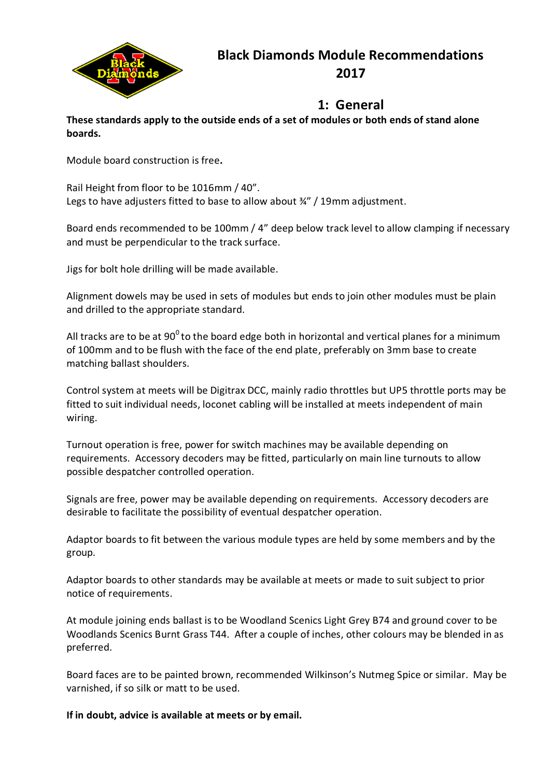

# **Black Diamonds Module Recommendations 2017**

## **1: General**

**These standards apply to the outside ends of a set of modules or both ends of stand alone boards.**

Module board construction is free**.**

Rail Height from floor to be 1016mm / 40". Legs to have adjusters fitted to base to allow about 3/4" / 19mm adjustment.

Board ends recommended to be 100mm / 4" deep below track level to allow clamping if necessary and must be perpendicular to the track surface.

Jigs for bolt hole drilling will be made available.

Alignment dowels may be used in sets of modules but ends to join other modules must be plain and drilled to the appropriate standard.

All tracks are to be at 90<sup>0</sup> to the board edge both in horizontal and vertical planes for a minimum of 100mm and to be flush with the face of the end plate, preferably on 3mm base to create matching ballast shoulders.

Control system at meets will be Digitrax DCC, mainly radio throttles but UP5 throttle ports may be fitted to suit individual needs, loconet cabling will be installed at meets independent of main wiring.

Turnout operation is free, power for switch machines may be available depending on requirements. Accessory decoders may be fitted, particularly on main line turnouts to allow possible despatcher controlled operation.

Signals are free, power may be available depending on requirements. Accessory decoders are desirable to facilitate the possibility of eventual despatcher operation.

Adaptor boards to fit between the various module types are held by some members and by the group.

Adaptor boards to other standards may be available at meets or made to suit subject to prior notice of requirements.

At module joining ends ballast is to be Woodland Scenics Light Grey B74 and ground cover to be Woodlands Scenics Burnt Grass T44. After a couple of inches, other colours may be blended in as preferred.

Board faces are to be painted brown, recommended Wilkinson's Nutmeg Spice or similar. May be varnished, if so silk or matt to be used.

**If in doubt, advice is available at meets or by email.**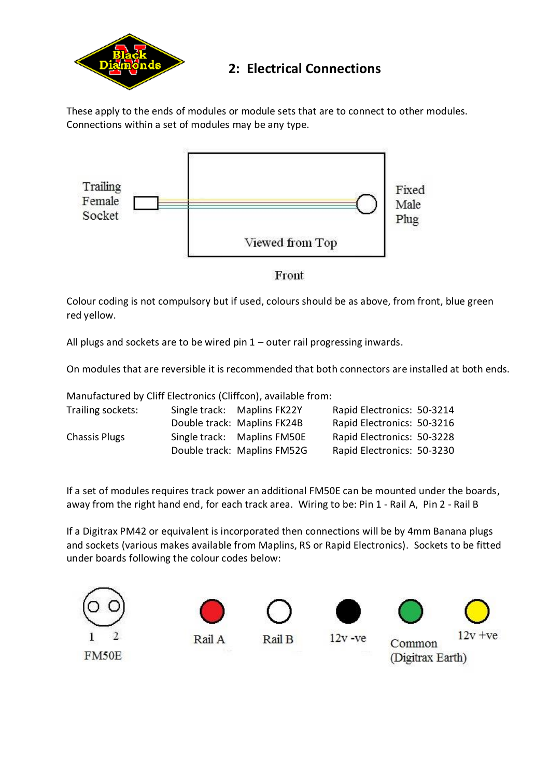

## **2: Electrical Connections**

These apply to the ends of modules or module sets that are to connect to other modules. Connections within a set of modules may be any type.



Front

Colour coding is not compulsory but if used, colours should be as above, from front, blue green red yellow.

All plugs and sockets are to be wired pin 1 – outer rail progressing inwards.

On modules that are reversible it is recommended that both connectors are installed at both ends.

Manufactured by Cliff Electronics (Cliffcon), available from:

| Trailing sockets:    | Single track: Maplins FK22Y | Rapid Electronics: 50-3214 |  |
|----------------------|-----------------------------|----------------------------|--|
|                      | Double track: Maplins FK24B | Rapid Electronics: 50-3216 |  |
| <b>Chassis Plugs</b> | Single track: Maplins FM50E | Rapid Electronics: 50-3228 |  |
|                      | Double track: Maplins FM52G | Rapid Electronics: 50-3230 |  |

If a set of modules requires track power an additional FM50E can be mounted under the boards, away from the right hand end, for each track area. Wiring to be: Pin 1 - Rail A, Pin 2 - Rail B

If a Digitrax PM42 or equivalent is incorporated then connections will be by 4mm Banana plugs and sockets (various makes available from Maplins, RS or Rapid Electronics). Sockets to be fitted under boards following the colour codes below:

Rail B





Rail A





 $12v -ve$ 





Common (Digitrax Earth)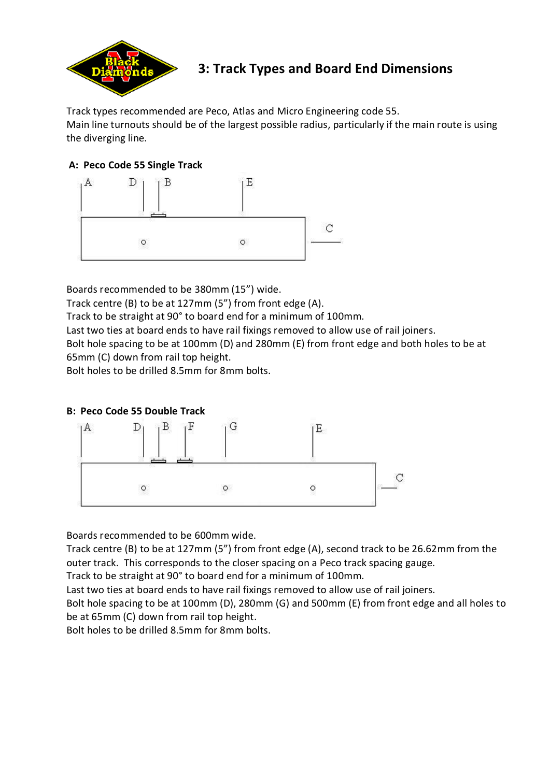

## **3: Track Types and Board End Dimensions**

Track types recommended are Peco, Atlas and Micro Engineering code 55. Main line turnouts should be of the largest possible radius, particularly if the main route is using the diverging line.

### **A: Peco Code 55 Single Track**



Boards recommended to be 380mm (15") wide.

Track centre (B) to be at 127mm (5") from front edge (A).

Track to be straight at 90° to board end for a minimum of 100mm.

Last two ties at board ends to have rail fixings removed to allow use of rail joiners.

Bolt hole spacing to be at 100mm (D) and 280mm (E) from front edge and both holes to be at 65mm (C) down from rail top height.

Bolt holes to be drilled 8.5mm for 8mm bolts.

### **B: Peco Code 55 Double Track**



Boards recommended to be 600mm wide.

Track centre (B) to be at 127mm (5") from front edge (A), second track to be 26.62mm from the outer track. This corresponds to the closer spacing on a Peco track spacing gauge.

Track to be straight at 90° to board end for a minimum of 100mm.

Last two ties at board ends to have rail fixings removed to allow use of rail joiners.

Bolt hole spacing to be at 100mm (D), 280mm (G) and 500mm (E) from front edge and all holes to be at 65mm (C) down from rail top height.

Bolt holes to be drilled 8.5mm for 8mm bolts.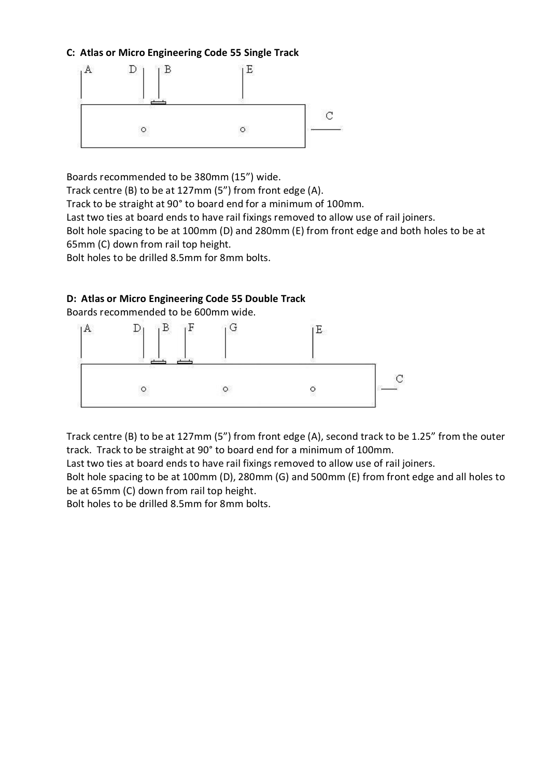#### **C: Atlas or Micro Engineering Code 55 Single Track**



Boards recommended to be 380mm (15") wide.

Track centre (B) to be at 127mm (5") from front edge (A).

Track to be straight at 90° to board end for a minimum of 100mm.

Last two ties at board ends to have rail fixings removed to allow use of rail joiners.

Bolt hole spacing to be at 100mm (D) and 280mm (E) from front edge and both holes to be at 65mm (C) down from rail top height.

Bolt holes to be drilled 8.5mm for 8mm bolts.

### **D: Atlas or Micro Engineering Code 55 Double Track**

Boards recommended to be 600mm wide.



Track centre (B) to be at 127mm (5") from front edge (A), second track to be 1.25" from the outer track. Track to be straight at 90° to board end for a minimum of 100mm.

Last two ties at board ends to have rail fixings removed to allow use of rail joiners.

Bolt hole spacing to be at 100mm (D), 280mm (G) and 500mm (E) from front edge and all holes to be at 65mm (C) down from rail top height.

Bolt holes to be drilled 8.5mm for 8mm bolts.